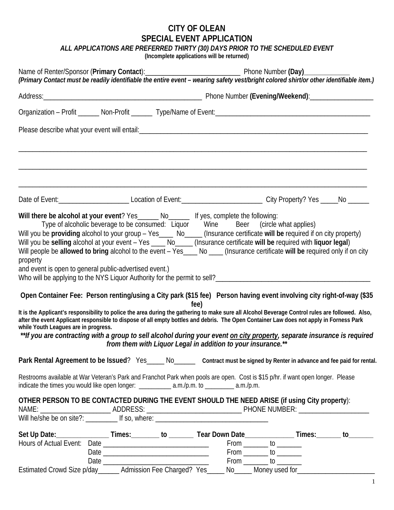## **CITY OF OLEAN SPECIAL EVENT APPLICATION**

*ALL APPLICATIONS ARE PREFERRED THIRTY (30) DAYS PRIOR TO THE SCHEDULED EVENT*

**(Incomplete applications will be returned)**

|                                                                                                                                                                                                                                                                                                                                                                                                                                                                                                                                                       | (Primary Contact must be readily identifiable the entire event - wearing safety vest/bright colored shirt/or other identifiable item.) |  |                                                                                   |                                                                                                                          |  |  |
|-------------------------------------------------------------------------------------------------------------------------------------------------------------------------------------------------------------------------------------------------------------------------------------------------------------------------------------------------------------------------------------------------------------------------------------------------------------------------------------------------------------------------------------------------------|----------------------------------------------------------------------------------------------------------------------------------------|--|-----------------------------------------------------------------------------------|--------------------------------------------------------------------------------------------------------------------------|--|--|
|                                                                                                                                                                                                                                                                                                                                                                                                                                                                                                                                                       |                                                                                                                                        |  |                                                                                   |                                                                                                                          |  |  |
|                                                                                                                                                                                                                                                                                                                                                                                                                                                                                                                                                       |                                                                                                                                        |  |                                                                                   |                                                                                                                          |  |  |
|                                                                                                                                                                                                                                                                                                                                                                                                                                                                                                                                                       |                                                                                                                                        |  |                                                                                   |                                                                                                                          |  |  |
| Date of Event: ________________________________Location of Event: __________________________________City Property? Yes ______No _______                                                                                                                                                                                                                                                                                                                                                                                                               |                                                                                                                                        |  |                                                                                   |                                                                                                                          |  |  |
| Will there be alcohol at your event? Yes______ No______ If yes, complete the following:<br>Will you be providing alcohol to your group - Yes____ No____ (Insurance certificate will be required if on city property)<br>Will you be selling alcohol at your event - Yes ____ No____ (Insurance certificate will be required with liquor legal)<br>Will people be allowed to bring alcohol to the event - Yes____ No ___ (Insurance certificate will be required only if on city<br>property<br>and event is open to general public-advertised event.) |                                                                                                                                        |  | Type of alcoholic beverage to be consumed: Liquor Wine Beer (circle what applies) |                                                                                                                          |  |  |
| Open Container Fee: Person renting/using a City park (\$15 fee) Person having event involving city right-of-way (\$35<br>It is the Applicant's responsibility to police the area during the gathering to make sure all Alcohol Beverage Control rules are followed. Also,<br>after the event Applicant responsible to dispose of all empty bottles and debris. The Open Container Law does not apply in Forness Park<br>while Youth Leagues are in progress.                                                                                          |                                                                                                                                        |  | fee)<br>from them with Liquor Legal in addition to your insurance.**              | **If you are contracting with a group to sell alcohol during your event on city property, separate insurance is required |  |  |
| Park Rental Agreement to be Issued? Yes_____ No______ Contract must be signed by Renter in advance and fee paid for rental.<br>Restrooms available at War Veteran's Park and Franchot Park when pools are open. Cost is \$15 p/hr. if want open longer. Please<br>indicate the times you would like open longer: _____________ a.m./p.m. to __________ a.m./p.m.                                                                                                                                                                                      |                                                                                                                                        |  |                                                                                   |                                                                                                                          |  |  |
| OTHER PERSON TO BE CONTACTED DURING THE EVENT SHOULD THE NEED ARISE (if using City property):                                                                                                                                                                                                                                                                                                                                                                                                                                                         |                                                                                                                                        |  |                                                                                   |                                                                                                                          |  |  |
| Set Up Date:__________________Times:__________ to __________Tear Down Date________________Times:_________ to_______                                                                                                                                                                                                                                                                                                                                                                                                                                   |                                                                                                                                        |  |                                                                                   | From _________ to ________<br>From _________ to _________<br>From _________ to ________                                  |  |  |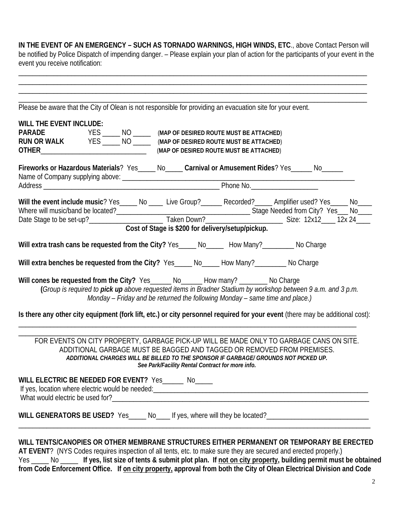**IN THE EVENT OF AN EMERGENCY – SUCH AS TORNADO WARNINGS, HIGH WINDS, ETC**., above Contact Person will be notified by Police Dispatch of impending danger. – Please explain your plan of action for the participants of your event in the event you receive notification:

\_\_\_\_\_\_\_\_\_\_\_\_\_\_\_\_\_\_\_\_\_\_\_\_\_\_\_\_\_\_\_\_\_\_\_\_\_\_\_\_\_\_\_\_\_\_\_\_\_\_\_\_\_\_\_\_\_\_\_\_\_\_\_\_\_\_\_\_\_\_\_\_\_\_\_\_\_\_\_\_\_\_\_\_\_\_\_\_\_\_\_\_\_\_\_\_\_\_\_ \_\_\_\_\_\_\_\_\_\_\_\_\_\_\_\_\_\_\_\_\_\_\_\_\_\_\_\_\_\_\_\_\_\_\_\_\_\_\_\_\_\_\_\_\_\_\_\_\_\_\_\_\_\_\_\_\_\_\_\_\_\_\_\_\_\_\_\_\_\_\_\_\_\_\_\_\_\_\_\_\_\_\_\_\_\_\_\_\_\_\_\_\_\_\_\_\_\_\_ \_\_\_\_\_\_\_\_\_\_\_\_\_\_\_\_\_\_\_\_\_\_\_\_\_\_\_\_\_\_\_\_\_\_\_\_\_\_\_\_\_\_\_\_\_\_\_\_\_\_\_\_\_\_\_\_\_\_\_\_\_\_\_\_\_\_\_\_\_\_\_\_\_\_\_\_\_\_\_\_\_\_\_\_\_\_\_\_\_\_\_\_\_\_\_\_\_\_\_ \_\_\_\_\_\_\_\_\_\_\_\_\_\_\_\_\_\_\_\_\_\_\_\_\_\_\_\_\_\_\_\_\_\_\_\_\_\_\_\_\_\_\_\_\_\_\_\_\_\_\_\_\_\_\_\_\_\_\_\_\_\_\_\_\_\_\_\_\_\_\_\_\_\_\_\_\_\_\_\_\_\_\_\_\_\_\_\_\_\_\_\_\_\_\_\_\_\_\_

Please be aware that the City of Olean is not responsible for providing an evacuation site for your event.

| <b>WILL THE EVENT INCLUDE:</b>                                                                                                                                                                                                                                                                               |  |  |  |  |  |  |                                         |
|--------------------------------------------------------------------------------------------------------------------------------------------------------------------------------------------------------------------------------------------------------------------------------------------------------------|--|--|--|--|--|--|-----------------------------------------|
| PARADE YES _______ NO _______ (MAP OF DESIRED ROUTE MUST BE ATTACHED)<br>RUN OR WALK YES ______ NO ______ (MAP OF DESIRED ROUTE MUST BE ATTACHED)                                                                                                                                                            |  |  |  |  |  |  |                                         |
|                                                                                                                                                                                                                                                                                                              |  |  |  |  |  |  | (MAP OF DESIRED ROUTE MUST BE ATTACHED) |
| Fireworks or Hazardous Materials? Yes_____ No_____ Carnival or Amusement Rides? Yes______ No______                                                                                                                                                                                                           |  |  |  |  |  |  |                                         |
|                                                                                                                                                                                                                                                                                                              |  |  |  |  |  |  |                                         |
| Will the event include music? Yes_____ No ____ Live Group?______ Recorded?_____ Amplifier used? Yes_____ No____<br>Where will music/band be located? Movement Cost of Stage is \$200 for delivery/setup/pickup.<br>Date Stage to be set-up? Movement Cost of Stage is \$200 for delivery/setup/pickup.       |  |  |  |  |  |  |                                         |
| Will extra trash cans be requested from the City? Yes_____ No_____ How Many?_______ No Charge                                                                                                                                                                                                                |  |  |  |  |  |  |                                         |
| Will extra benches be requested from the City? Yes_____ No_____ How Many?________ No Charge                                                                                                                                                                                                                  |  |  |  |  |  |  |                                         |
| Will cones be requested from the City? Yes______ No______ How many? ________ No Charge<br>(Group is required to pick up above requested items in Bradner Stadium by workshop between 9 a.m. and 3 p.m.<br>Monday - Friday and be returned the following Monday - same time and place.)                       |  |  |  |  |  |  |                                         |
| Is there any other city equipment (fork lift, etc.) or city personnel required for your event (there may be additional cost):                                                                                                                                                                                |  |  |  |  |  |  |                                         |
| FOR EVENTS ON CITY PROPERTY, GARBAGE PICK-UP WILL BE MADE ONLY TO GARBAGE CANS ON SITE.<br>ADDITIONAL GARBAGE MUST BE BAGGED AND TAGGED OR REMOVED FROM PREMISES.<br>ADDITIONAL CHARGES WILL BE BILLED TO THE SPONSOR IF GARBAGE/ GROUNDS NOT PICKED UP.<br>See Park/Facility Rental Contract for more info. |  |  |  |  |  |  |                                         |
| WILL ELECTRIC BE NEEDED FOR EVENT? Yes______ No_____                                                                                                                                                                                                                                                         |  |  |  |  |  |  |                                         |
| WILL GENERATORS BE USED? Yes____ No____ If yes, where will they be located?_________________________                                                                                                                                                                                                         |  |  |  |  |  |  |                                         |
|                                                                                                                                                                                                                                                                                                              |  |  |  |  |  |  |                                         |
| WILL TENTS/CANOPIES OR OTHER MEMBRANE STRUCTURES EITHER PERMANENT OR TEMPORARY BE ERECTED                                                                                                                                                                                                                    |  |  |  |  |  |  |                                         |

**AT EVENT**? (NYS Codes requires inspection of all tents, etc. to make sure they are secured and erected properly.) Yes \_\_\_\_\_ No \_\_\_\_\_ **If yes, list size of tents & submit plot plan. If not on city property, building permit must be obtained from Code Enforcement Office. If on city property, approval from both the City of Olean Electrical Division and Code**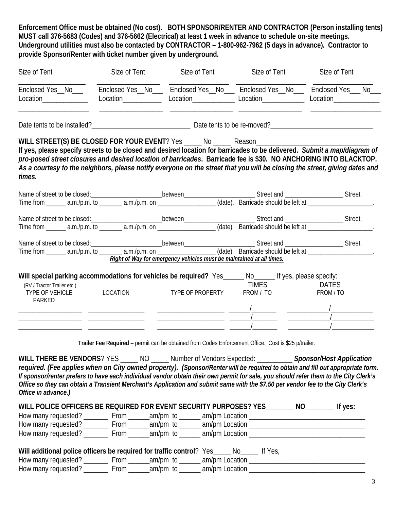**Enforcement Office must be obtained (No cost). BOTH SPONSOR/RENTER AND CONTRACTOR (Person installing tents) MUST call 376-5683 (Codes) and 376-5662 (Electrical) at least 1 week in advance to schedule on-site meetings. Underground utilities must also be contacted by CONTRACTOR – 1-800-962-7962 (5 days in advance). Contractor to provide Sponsor/Renter with ticket number given by underground.**

| Size of Tent                                                                                                                                                                                                                                                                                                                                                                                                                                                                                 | Size of Tent | Size of Tent                                                                                         | Size of Tent              | Size of Tent              |
|----------------------------------------------------------------------------------------------------------------------------------------------------------------------------------------------------------------------------------------------------------------------------------------------------------------------------------------------------------------------------------------------------------------------------------------------------------------------------------------------|--------------|------------------------------------------------------------------------------------------------------|---------------------------|---------------------------|
| Enclosed Yes_No_________Enclosed Yes_No_____Enclosed Yes_No____Enclosed Yes_No____Enclosed Yes__No_<br>Location_______________                                                                                                                                                                                                                                                                                                                                                               |              | Location______________________Location______________Location___________________Location_____________ |                           |                           |
|                                                                                                                                                                                                                                                                                                                                                                                                                                                                                              |              |                                                                                                      |                           |                           |
| WILL STREET(S) BE CLOSED FOR YOUR EVENT? Yes _____ No ______ Reason_________________________________<br>If yes, please specify streets to be closed and desired location for barricades to be delivered. Submit a map/diagram of<br>pro-posed street closures and desired location of barricades. Barricade fee is \$30. NO ANCHORING INTO BLACKTOP.<br>As a courtesy to the neighbors, please notify everyone on the street that you will be closing the street, giving dates and<br>times. |              |                                                                                                      |                           |                           |
|                                                                                                                                                                                                                                                                                                                                                                                                                                                                                              |              |                                                                                                      |                           |                           |
|                                                                                                                                                                                                                                                                                                                                                                                                                                                                                              |              |                                                                                                      |                           |                           |
|                                                                                                                                                                                                                                                                                                                                                                                                                                                                                              |              | Right of Way for emergency vehicles must be maintained at all times.                                 |                           |                           |
| Will special parking accommodations for vehicles be required? Yes_____ No_____ If yes, please specify:<br>(RV / Tractor Trailer etc.)<br>TYPE OF VEHICLE<br>PARKED                                                                                                                                                                                                                                                                                                                           | LOCATION     | TYPE OF PROPERTY                                                                                     | <b>TIMES</b><br>FROM / TO | <b>DATES</b><br>FROM / TO |
|                                                                                                                                                                                                                                                                                                                                                                                                                                                                                              |              | Trailer Fee Required - permit can be obtained from Codes Enforcement Office. Cost is \$25 p/trailer. |                           |                           |

**WILL THERE BE VENDORS**? YES \_\_\_\_\_ NO \_\_\_\_\_ Number of Vendors Expected: \_\_\_\_\_\_\_\_\_\_ *Sponsor/Host Application required. (Fee applies when on City owned property). (Sponsor/Renter will be required to obtain and fill out appropriate form. If sponsor/renter prefers to have each individual vendor obtain their own permit for sale, you should refer them to the City Clerk's Office so they can obtain a Transient Merchant's Application and submit same with the \$7.50 per vendor fee to the City Clerk's Office in advance.)*

| WILL POLICE OFFICERS BE REQUIRED FOR EVENT SECURITY PURPOSES? YES |      |          |                | ΝO | If yes: |
|-------------------------------------------------------------------|------|----------|----------------|----|---------|
| How many requested?                                               | From | am/pm to | am/pm Location |    |         |
| How many requested?                                               | From | am/pm to | am/pm Location |    |         |
| How many requested?                                               | From | am/pm to | am/pm Location |    |         |
|                                                                   |      |          |                |    |         |

| Will additional police officers be required for traffic control? Yes_ |  | No. | lf Yes, |
|-----------------------------------------------------------------------|--|-----|---------|
|-----------------------------------------------------------------------|--|-----|---------|

| How many requested? | rom | am/pm | am/pm Location |  |
|---------------------|-----|-------|----------------|--|
| How many requested? | rom | am/pm | am/pm Location |  |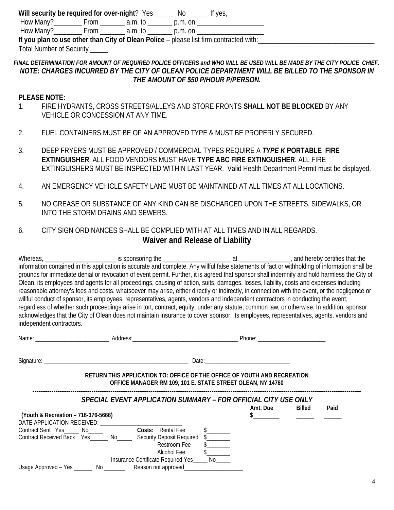**Will security be required for over-night**? Yes \_\_\_\_\_\_ No \_\_\_\_\_\_ If yes,

How Many? \_\_\_\_\_\_\_\_ From \_\_\_\_\_\_\_\_ a.m. to \_\_\_\_\_\_\_\_ p.m. on \_\_\_\_\_\_\_\_\_\_\_\_\_\_\_\_\_\_\_\_\_\_

How Many?\_\_\_\_\_\_\_\_\_\_\_\_\_ From \_\_\_\_\_\_\_\_\_\_\_\_ a.m. to \_\_\_\_\_\_\_\_\_\_\_\_ p.m. on \_\_\_\_\_\_\_\_\_

**If you plan to use other than City of Olean Police** – please list firm contracted with:

Total Number of Security

## *FINAL DETERMINATION FOR AMOUNT OF REQUIRED POLICE OFFICERS and WHO WILL BE USED WILL BE MADE BY THE CITY POLICE CHIEF. NOTE: CHARGES INCURRED BY THE CITY OF OLEAN POLICE DEPARTMENT WILL BE BILLED TO THE SPONSOR IN THE AMOUNT OF \$50 P/HOUR P/PERSON.*

## **PLEASE NOTE:**

- 1. FIRE HYDRANTS, CROSS STREETS/ALLEYS AND STORE FRONTS **SHALL NOT BE BLOCKED** BY ANY VEHICLE OR CONCESSION AT ANY TIME.
- 2. FUEL CONTAINERS MUST BE OF AN APPROVED TYPE & MUST BE PROPERLY SECURED.
- 3. DEEP FRYERS MUST BE APPROVED / COMMERCIAL TYPES REQUIRE A *TYPE K* **PORTABLE FIRE EXTINGUISHER**. ALL FOOD VENDORS MUST HAVE **TYPE ABC FIRE EXTINGUISHER**. ALL FIRE EXTINGUISHERS MUST BE INSPECTED WITHIN LAST YEAR. Valid Health Department Permit must be displayed.
- 4. AN EMERGENCY VEHICLE SAFETY LANE MUST BE MAINTAINED AT ALL TIMES AT ALL LOCATIONS.
- 5. NO GREASE OR SUBSTANCE OF ANY KIND CAN BE DISCHARGED UPON THE STREETS, SIDEWALKS, OR INTO THE STORM DRAINS AND SEWERS.

## 6. CITY SIGN ORDINANCES SHALL BE COMPLIED WITH AT ALL TIMES AND IN ALL REGARDS. **Waiver and Release of Liability**

Whereas,  $\frac{1}{1}$  and hereby certifies that the information contained in this application is accurate and complete. Any willful false statements of fact or withholding of information shall be grounds for immediate denial or revocation of event permit. Further, it is agreed that sponsor shall indemnify and hold harmless the City of Olean, its employees and agents for all proceedings, causing of action, suits, damages, losses, liability, costs and expenses including reasonable attorney's fees and costs, whatsoever may arise, either directly or indirectly, in connection with the event, or the negligence or willful conduct of sponsor, its employees, representatives, agents, vendors and independent contractors in conducting the event, regardless of whether such proceedings arise in tort, contract, equity, under any statute, common law, or otherwise. In addition, sponsor acknowledges that the City of Olean does not maintain insurance to cover sponsor, its employees, representatives, agents, vendors and independent contractors.

|                                     |                                                                                                                                                    |               | Phone: <u>__________________________________</u> |                                                |      |
|-------------------------------------|----------------------------------------------------------------------------------------------------------------------------------------------------|---------------|--------------------------------------------------|------------------------------------------------|------|
|                                     |                                                                                                                                                    | Date: Date:   |                                                  |                                                |      |
|                                     | RETURN THIS APPLICATION TO: OFFICE OF THE OFFICE OF YOUTH AND RECREATION<br>OFFICE MANAGER RM 109, 101 E. STATE STREET OLEAN, NY 14760             |               |                                                  |                                                |      |
|                                     | SPECIAL EVENT APPLICATION SUMMARY – FOR OFFICIAL CITY USE ONLY                                                                                     |               | Amt. Due                                         | Billed                                         | Paid |
| (Youth & Recreation - 716-376-5666) |                                                                                                                                                    |               |                                                  | <u> 1980 - Jan Barbara Barbara, manazarta </u> |      |
|                                     | Contract Sent Yes <u>Mo Costs:</u> Rental Fee<br>Contract Received Back Yes______ No_____ Security Deposit Required \$______<br>Restroom Fee       | $\frac{1}{2}$ |                                                  |                                                |      |
|                                     | Alcohol Fee<br>Insurance Certificate Required Yes_____ No_____<br>Usage Approved - Yes ________ No ___________ Reason not approved________________ | $\frac{1}{2}$ |                                                  |                                                |      |